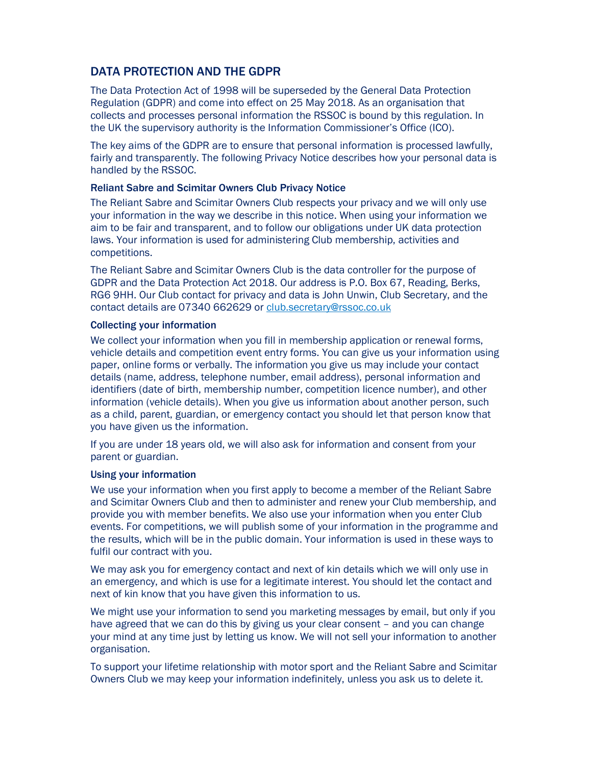# DATA PROTECTION AND THE GDPR

The Data Protection Act of 1998 will be superseded by the General Data Protection Regulation (GDPR) and come into effect on 25 May 2018. As an organisation that collects and processes personal information the RSSOC is bound by this regulation. In the UK the supervisory authority is the Information Commissioner's Office (ICO).

The key aims of the GDPR are to ensure that personal information is processed lawfully, fairly and transparently. The following Privacy Notice describes how your personal data is handled by the RSSOC.

## Reliant Sabre and Scimitar Owners Club Privacy Notice

The Reliant Sabre and Scimitar Owners Club respects your privacy and we will only use your information in the way we describe in this notice. When using your information we aim to be fair and transparent, and to follow our obligations under UK data protection laws. Your information is used for administering Club membership, activities and competitions.

The Reliant Sabre and Scimitar Owners Club is the data controller for the purpose of GDPR and the Data Protection Act 2018. Our address is P.O. Box 67, Reading, Berks, RG6 9HH. Our Club contact for privacy and data is John Unwin, Club Secretary, and the contact details are 07340 662629 or club.secretary@rssoc.co.uk

#### Collecting your information

We collect your information when you fill in membership application or renewal forms, vehicle details and competition event entry forms. You can give us your information using paper, online forms or verbally. The information you give us may include your contact details (name, address, telephone number, email address), personal information and identifiers (date of birth, membership number, competition licence number), and other information (vehicle details). When you give us information about another person, such as a child, parent, guardian, or emergency contact you should let that person know that you have given us the information.

If you are under 18 years old, we will also ask for information and consent from your parent or guardian.

#### Using your information

We use your information when you first apply to become a member of the Reliant Sabre and Scimitar Owners Club and then to administer and renew your Club membership, and provide you with member benefits. We also use your information when you enter Club events. For competitions, we will publish some of your information in the programme and the results, which will be in the public domain. Your information is used in these ways to fulfil our contract with you.

We may ask you for emergency contact and next of kin details which we will only use in an emergency, and which is use for a legitimate interest. You should let the contact and next of kin know that you have given this information to us.

We might use your information to send you marketing messages by email, but only if you have agreed that we can do this by giving us your clear consent – and you can change your mind at any time just by letting us know. We will not sell your information to another organisation.

To support your lifetime relationship with motor sport and the Reliant Sabre and Scimitar Owners Club we may keep your information indefinitely, unless you ask us to delete it.